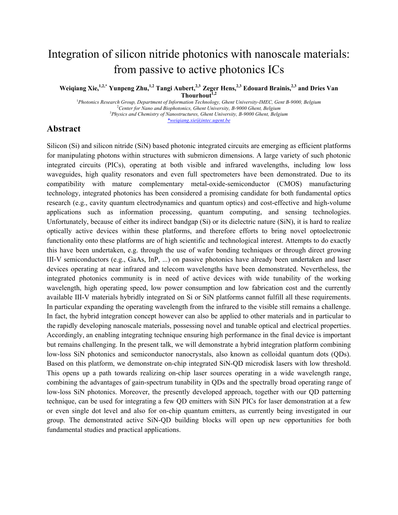# Integration of silicon nitride photonics with nanoscale materials: from passive to active photonics ICs

Weiqiang Xie,<sup>1,2,\*</sup> Yunpeng Zhu,<sup>1,2</sup> Tangi Aubert,<sup>2,3</sup> Zeger Hens,<sup>2,3</sup> Edouard Brainis,<sup>2,3</sup> and Dries Van **Thourhout1,2**

<sup>1</sup> Photonics Research Group, Department of Information Technology, Ghent University-IMEC, Gent B-9000, Belgium 2 *Center for Nano and Biophotonics, Ghent University, B-9000 Ghent, Belgium* 3 *Physics and Chemistry of Nanostructures, Ghent University, B-9000 Ghent, Belgium \*weiqiang.xie@intec.ugent.be*

#### **Abstract**

Silicon (Si) and silicon nitride (SiN) based photonic integrated circuits are emerging as efficient platforms for manipulating photons within structures with submicron dimensions. A large variety of such photonic integrated circuits (PICs), operating at both visible and infrared wavelengths, including low loss waveguides, high quality resonators and even full spectrometers have been demonstrated. Due to its compatibility with mature complementary metal-oxide-semiconductor (CMOS) manufacturing technology, integrated photonics has been considered a promising candidate for both fundamental optics research (e.g., cavity quantum electrodynamics and quantum optics) and cost-effective and high-volume applications such as information processing, quantum computing, and sensing technologies. Unfortunately, because of either its indirect bandgap (Si) or its dielectric nature (SiN), it is hard to realize optically active devices within these platforms, and therefore efforts to bring novel optoelectronic functionality onto these platforms are of high scientific and technological interest. Attempts to do exactly this have been undertaken, e.g. through the use of wafer bonding techniques or through direct growing III-V semiconductors (e.g., GaAs, InP, ...) on passive photonics have already been undertaken and laser devices operating at near infrared and telecom wavelengths have been demonstrated. Nevertheless, the integrated photonics community is in need of active devices with wide tunability of the working wavelength, high operating speed, low power consumption and low fabrication cost and the currently available III-V materials hybridly integrated on Si or SiN platforms cannot fulfill all these requirements. In particular expanding the operating wavelength from the infrared to the visible still remains a challenge. In fact, the hybrid integration concept however can also be applied to other materials and in particular to the rapidly developing nanoscale materials, possessing novel and tunable optical and electrical properties. Accordingly, an enabling integrating technique ensuring high performance in the final device is important but remains challenging. In the present talk, we will demonstrate a hybrid integration platform combining low-loss SiN photonics and semiconductor nanocrystals, also known as colloidal quantum dots (QDs). Based on this platform, we demonstrate on-chip integrated SiN-QD microdisk lasers with low threshold. This opens up a path towards realizing on-chip laser sources operating in a wide wavelength range, combining the advantages of gain-spectrum tunability in QDs and the spectrally broad operating range of low-loss SiN photonics. Moreover, the presently developed approach, together with our QD patterning technique, can be used for integrating a few QD emitters with SiN PICs for laser demonstration at a few or even single dot level and also for on-chip quantum emitters, as currently being investigated in our group. The demonstrated active SiN-QD building blocks will open up new opportunities for both fundamental studies and practical applications.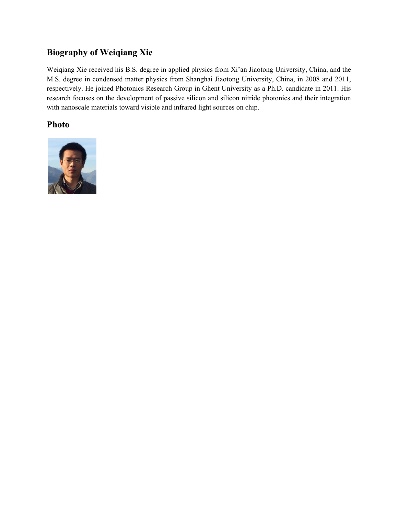## **Biography of Weiqiang Xie**

Weiqiang Xie received his B.S. degree in applied physics from Xi'an Jiaotong University, China, and the M.S. degree in condensed matter physics from Shanghai Jiaotong University, China, in 2008 and 2011, respectively. He joined Photonics Research Group in Ghent University as a Ph.D. candidate in 2011. His research focuses on the development of passive silicon and silicon nitride photonics and their integration with nanoscale materials toward visible and infrared light sources on chip.

### **Photo**